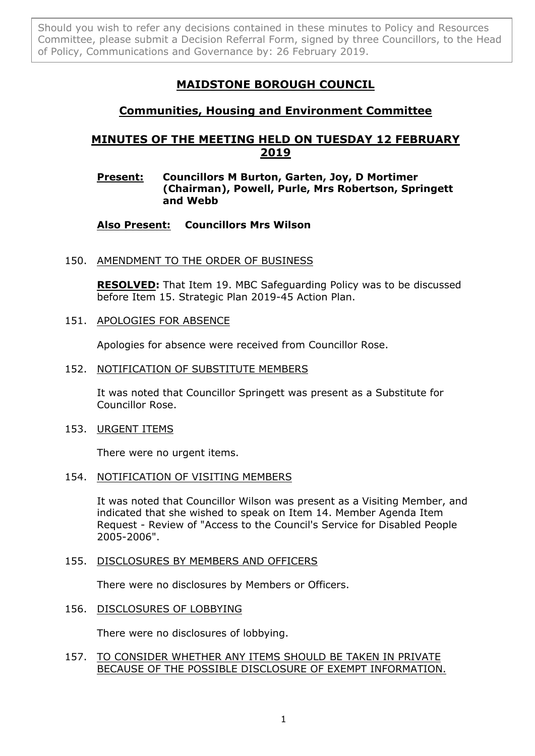Should you wish to refer any decisions contained in these minutes to Policy and Resources Committee, please submit a Decision Referral Form, signed by three Councillors, to the Head of Policy, Communications and Governance by: 26 February 2019.

# **MAIDSTONE BOROUGH COUNCIL**

## **Communities, Housing and Environment Committee**

## **MINUTES OF THE MEETING HELD ON TUESDAY 12 FEBRUARY 2019**

## **Present: Councillors M Burton, Garten, Joy, D Mortimer (Chairman), Powell, Purle, Mrs Robertson, Springett and Webb**

## **Also Present: Councillors Mrs Wilson**

### 150. AMENDMENT TO THE ORDER OF BUSINESS

**RESOLVED:** That Item 19. MBC Safeguarding Policy was to be discussed before Item 15. Strategic Plan 2019-45 Action Plan.

#### 151. APOLOGIES FOR ABSENCE

Apologies for absence were received from Councillor Rose.

#### 152. NOTIFICATION OF SUBSTITUTE MEMBERS

It was noted that Councillor Springett was present as a Substitute for Councillor Rose.

#### 153. URGENT ITEMS

There were no urgent items.

#### 154. NOTIFICATION OF VISITING MEMBERS

It was noted that Councillor Wilson was present as a Visiting Member, and indicated that she wished to speak on Item 14. Member Agenda Item Request - Review of "Access to the Council's Service for Disabled People 2005-2006".

#### 155. DISCLOSURES BY MEMBERS AND OFFICERS

There were no disclosures by Members or Officers.

#### 156. DISCLOSURES OF LOBBYING

There were no disclosures of lobbying.

#### 157. TO CONSIDER WHETHER ANY ITEMS SHOULD BE TAKEN IN PRIVATE BECAUSE OF THE POSSIBLE DISCLOSURE OF EXEMPT INFORMATION.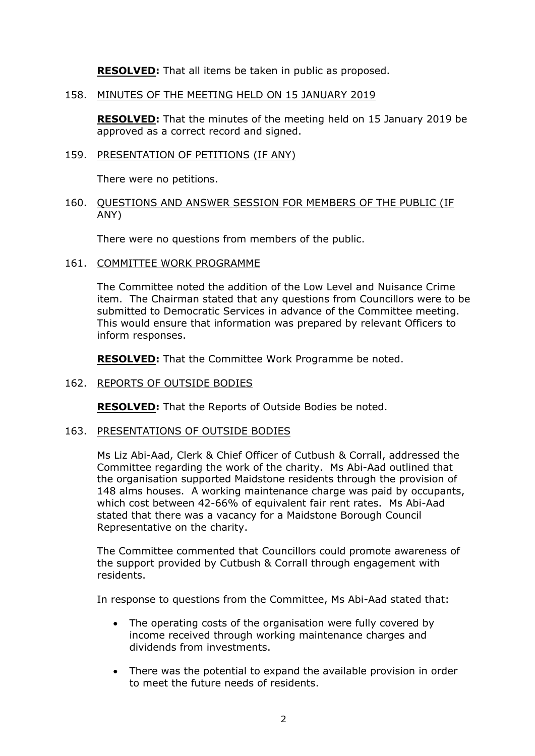**RESOLVED:** That all items be taken in public as proposed.

158. MINUTES OF THE MEETING HELD ON 15 JANUARY 2019

**RESOLVED:** That the minutes of the meeting held on 15 January 2019 be approved as a correct record and signed.

159. PRESENTATION OF PETITIONS (IF ANY)

There were no petitions.

160. QUESTIONS AND ANSWER SESSION FOR MEMBERS OF THE PUBLIC (IF ANY)

There were no questions from members of the public.

161. COMMITTEE WORK PROGRAMME

The Committee noted the addition of the Low Level and Nuisance Crime item. The Chairman stated that any questions from Councillors were to be submitted to Democratic Services in advance of the Committee meeting. This would ensure that information was prepared by relevant Officers to inform responses.

**RESOLVED:** That the Committee Work Programme be noted.

#### 162. REPORTS OF OUTSIDE BODIES

**RESOLVED:** That the Reports of Outside Bodies be noted.

#### 163. PRESENTATIONS OF OUTSIDE BODIES

Ms Liz Abi-Aad, Clerk & Chief Officer of Cutbush & Corrall, addressed the Committee regarding the work of the charity. Ms Abi-Aad outlined that the organisation supported Maidstone residents through the provision of 148 alms houses. A working maintenance charge was paid by occupants, which cost between 42-66% of equivalent fair rent rates. Ms Abi-Aad stated that there was a vacancy for a Maidstone Borough Council Representative on the charity.

The Committee commented that Councillors could promote awareness of the support provided by Cutbush & Corrall through engagement with residents.

In response to questions from the Committee, Ms Abi-Aad stated that:

- The operating costs of the organisation were fully covered by income received through working maintenance charges and dividends from investments.
- There was the potential to expand the available provision in order to meet the future needs of residents.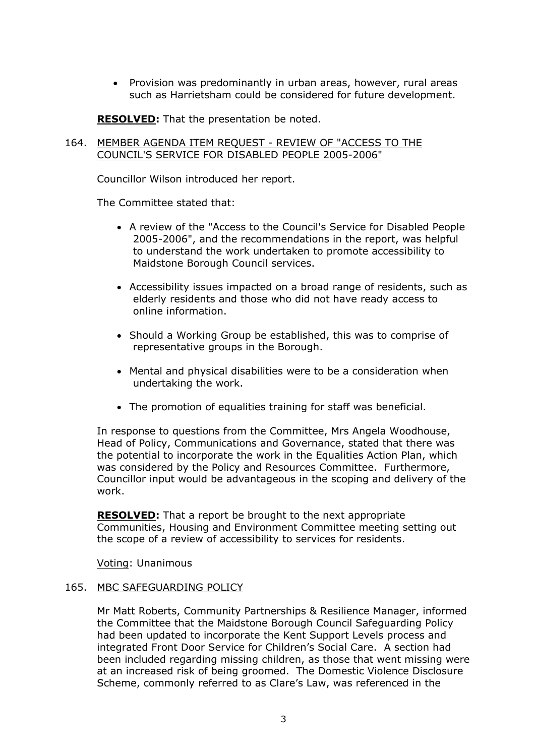• Provision was predominantly in urban areas, however, rural areas such as Harrietsham could be considered for future development.

**RESOLVED:** That the presentation be noted.

#### 164. MEMBER AGENDA ITEM REQUEST - REVIEW OF "ACCESS TO THE COUNCIL'S SERVICE FOR DISABLED PEOPLE 2005-2006"

Councillor Wilson introduced her report.

The Committee stated that:

- A review of the "Access to the Council's Service for Disabled People 2005-2006", and the recommendations in the report, was helpful to understand the work undertaken to promote accessibility to Maidstone Borough Council services.
- Accessibility issues impacted on a broad range of residents, such as elderly residents and those who did not have ready access to online information.
- Should a Working Group be established, this was to comprise of representative groups in the Borough.
- Mental and physical disabilities were to be a consideration when undertaking the work.
- The promotion of equalities training for staff was beneficial.

In response to questions from the Committee, Mrs Angela Woodhouse, Head of Policy, Communications and Governance, stated that there was the potential to incorporate the work in the Equalities Action Plan, which was considered by the Policy and Resources Committee. Furthermore, Councillor input would be advantageous in the scoping and delivery of the work.

**RESOLVED:** That a report be brought to the next appropriate Communities, Housing and Environment Committee meeting setting out the scope of a review of accessibility to services for residents.

Voting: Unanimous

#### 165. MBC SAFEGUARDING POLICY

Mr Matt Roberts, Community Partnerships & Resilience Manager, informed the Committee that the Maidstone Borough Council Safeguarding Policy had been updated to incorporate the Kent Support Levels process and integrated Front Door Service for Children's Social Care. A section had been included regarding missing children, as those that went missing were at an increased risk of being groomed. The Domestic Violence Disclosure Scheme, commonly referred to as Clare's Law, was referenced in the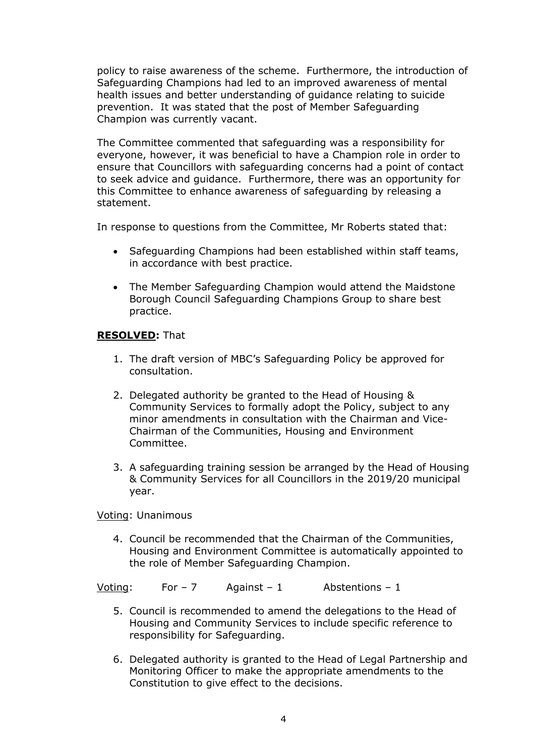policy to raise awareness of the scheme. Furthermore, the introduction of Safeguarding Champions had led to an improved awareness of mental health issues and better understanding of guidance relating to suicide prevention. It was stated that the post of Member Safeguarding Champion was currently vacant.

The Committee commented that safeguarding was a responsibility for everyone, however, it was beneficial to have a Champion role in order to ensure that Councillors with safeguarding concerns had a point of contact to seek advice and guidance. Furthermore, there was an opportunity for this Committee to enhance awareness of safeguarding by releasing a statement.

In response to questions from the Committee, Mr Roberts stated that:

- Safeguarding Champions had been established within staff teams, in accordance with best practice.
- The Member Safeguarding Champion would attend the Maidstone Borough Council Safeguarding Champions Group to share best practice.

### **RESOLVED:** That

- 1. The draft version of MBC's Safeguarding Policy be approved for consultation.
- 2. Delegated authority be granted to the Head of Housing & Community Services to formally adopt the Policy, subject to any minor amendments in consultation with the Chairman and Vice-Chairman of the Communities, Housing and Environment Committee.
- 3. A safeguarding training session be arranged by the Head of Housing & Community Services for all Councillors in the 2019/20 municipal year.

Voting: Unanimous

4. Council be recommended that the Chairman of the Communities, Housing and Environment Committee is automatically appointed to the role of Member Safeguarding Champion.

Voting: For – 7 Against – 1 Abstentions – 1

- 5. Council is recommended to amend the delegations to the Head of Housing and Community Services to include specific reference to responsibility for Safeguarding.
- 6. Delegated authority is granted to the Head of Legal Partnership and Monitoring Officer to make the appropriate amendments to the Constitution to give effect to the decisions.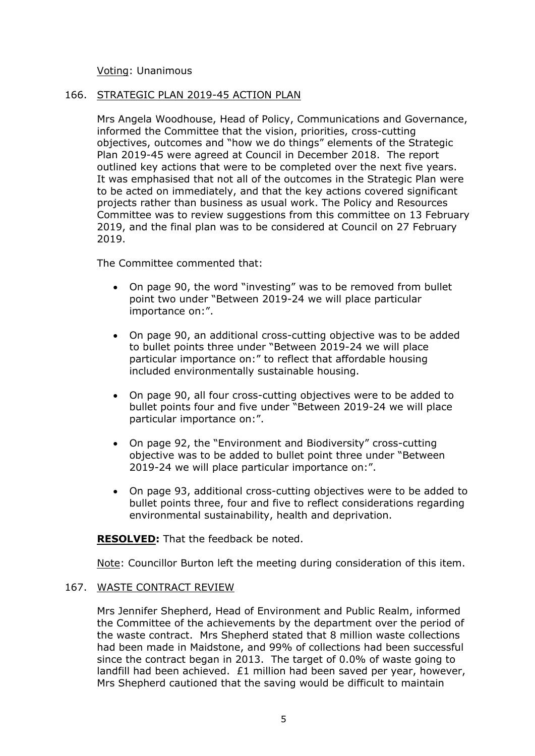Voting: Unanimous

#### 166. STRATEGIC PLAN 2019-45 ACTION PLAN

Mrs Angela Woodhouse, Head of Policy, Communications and Governance, informed the Committee that the vision, priorities, cross-cutting objectives, outcomes and "how we do things" elements of the Strategic Plan 2019-45 were agreed at Council in December 2018. The report outlined key actions that were to be completed over the next five years. It was emphasised that not all of the outcomes in the Strategic Plan were to be acted on immediately, and that the key actions covered significant projects rather than business as usual work. The Policy and Resources Committee was to review suggestions from this committee on 13 February 2019, and the final plan was to be considered at Council on 27 February 2019.

The Committee commented that:

- On page 90, the word "investing" was to be removed from bullet point two under "Between 2019-24 we will place particular importance on:".
- On page 90, an additional cross-cutting objective was to be added to bullet points three under "Between 2019-24 we will place particular importance on:" to reflect that affordable housing included environmentally sustainable housing.
- On page 90, all four cross-cutting objectives were to be added to bullet points four and five under "Between 2019-24 we will place particular importance on:".
- On page 92, the "Environment and Biodiversity" cross-cutting objective was to be added to bullet point three under "Between 2019-24 we will place particular importance on:".
- On page 93, additional cross-cutting objectives were to be added to bullet points three, four and five to reflect considerations regarding environmental sustainability, health and deprivation.

**RESOLVED:** That the feedback be noted.

Note: Councillor Burton left the meeting during consideration of this item.

#### 167. WASTE CONTRACT REVIEW

Mrs Jennifer Shepherd, Head of Environment and Public Realm, informed the Committee of the achievements by the department over the period of the waste contract. Mrs Shepherd stated that 8 million waste collections had been made in Maidstone, and 99% of collections had been successful since the contract began in 2013. The target of 0.0% of waste going to landfill had been achieved. £1 million had been saved per year, however, Mrs Shepherd cautioned that the saving would be difficult to maintain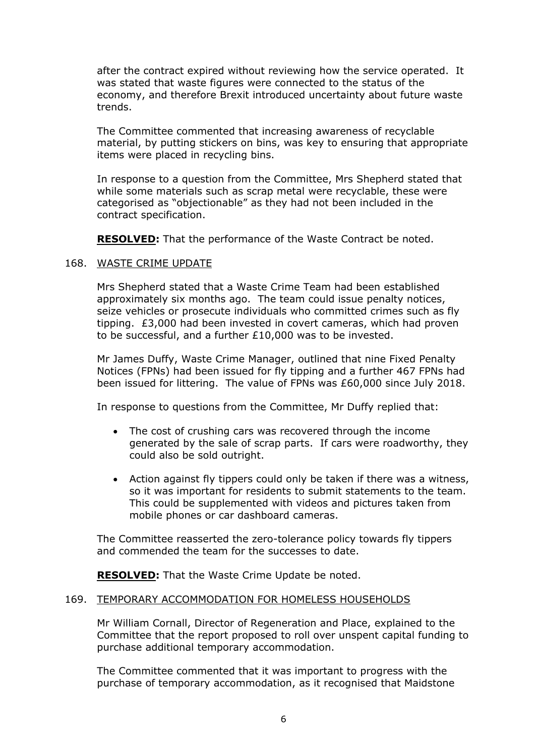after the contract expired without reviewing how the service operated. It was stated that waste figures were connected to the status of the economy, and therefore Brexit introduced uncertainty about future waste trends.

The Committee commented that increasing awareness of recyclable material, by putting stickers on bins, was key to ensuring that appropriate items were placed in recycling bins.

In response to a question from the Committee, Mrs Shepherd stated that while some materials such as scrap metal were recyclable, these were categorised as "objectionable" as they had not been included in the contract specification.

**RESOLVED:** That the performance of the Waste Contract be noted.

### 168. WASTE CRIME UPDATE

Mrs Shepherd stated that a Waste Crime Team had been established approximately six months ago. The team could issue penalty notices, seize vehicles or prosecute individuals who committed crimes such as fly tipping. £3,000 had been invested in covert cameras, which had proven to be successful, and a further £10,000 was to be invested.

Mr James Duffy, Waste Crime Manager, outlined that nine Fixed Penalty Notices (FPNs) had been issued for fly tipping and a further 467 FPNs had been issued for littering. The value of FPNs was £60,000 since July 2018.

In response to questions from the Committee, Mr Duffy replied that:

- The cost of crushing cars was recovered through the income generated by the sale of scrap parts. If cars were roadworthy, they could also be sold outright.
- Action against fly tippers could only be taken if there was a witness, so it was important for residents to submit statements to the team. This could be supplemented with videos and pictures taken from mobile phones or car dashboard cameras.

The Committee reasserted the zero-tolerance policy towards fly tippers and commended the team for the successes to date.

**RESOLVED:** That the Waste Crime Update be noted.

#### 169. TEMPORARY ACCOMMODATION FOR HOMELESS HOUSEHOLDS

Mr William Cornall, Director of Regeneration and Place, explained to the Committee that the report proposed to roll over unspent capital funding to purchase additional temporary accommodation.

The Committee commented that it was important to progress with the purchase of temporary accommodation, as it recognised that Maidstone